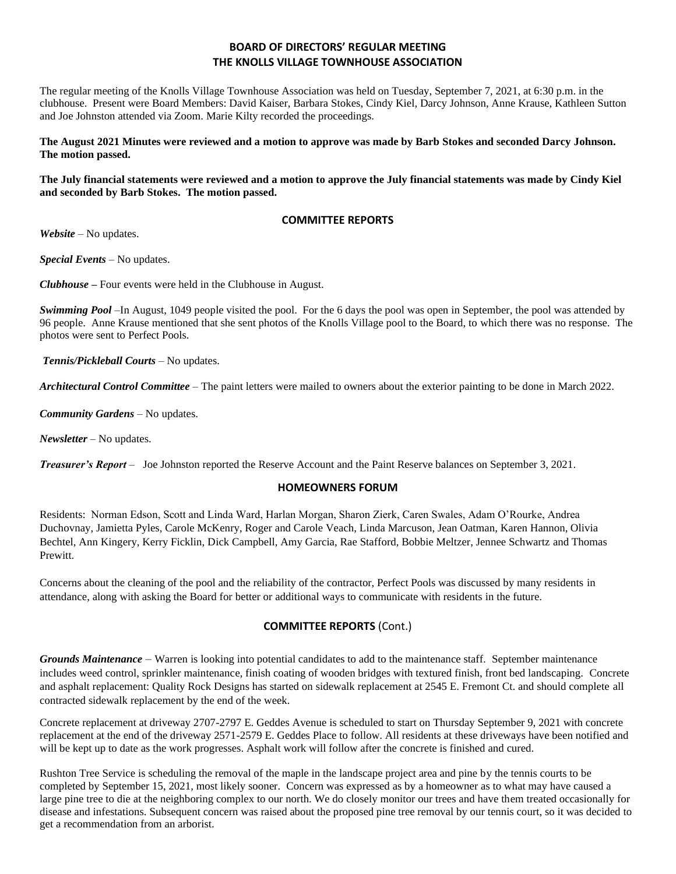# **BOARD OF DIRECTORS' REGULAR MEETING THE KNOLLS VILLAGE TOWNHOUSE ASSOCIATION**

The regular meeting of the Knolls Village Townhouse Association was held on Tuesday, September 7, 2021, at 6:30 p.m. in the clubhouse. Present were Board Members: David Kaiser, Barbara Stokes, Cindy Kiel, Darcy Johnson, Anne Krause, Kathleen Sutton and Joe Johnston attended via Zoom. Marie Kilty recorded the proceedings.

**The August 2021 Minutes were reviewed and a motion to approve was made by Barb Stokes and seconded Darcy Johnson. The motion passed.**

**The July financial statements were reviewed and a motion to approve the July financial statements was made by Cindy Kiel and seconded by Barb Stokes. The motion passed.**

### **COMMITTEE REPORTS**

*Website –* No updates.

*Special Events* – No updates.

*Clubhouse* **–** Four events were held in the Clubhouse in August.

*Swimming Pool* –In August, 1049 people visited the pool. For the 6 days the pool was open in September, the pool was attended by 96 people. Anne Krause mentioned that she sent photos of the Knolls Village pool to the Board, to which there was no response. The photos were sent to Perfect Pools.

*Tennis/Pickleball Courts* – No updates.

*Architectural Control Committee* – The paint letters were mailed to owners about the exterior painting to be done in March 2022.

*Community Gardens* – No updates.

*Newsletter* – No updates.

*Treasurer's Report* – Joe Johnston reported the Reserve Account and the Paint Reserve balances on September 3, 2021.

#### **HOMEOWNERS FORUM**

Residents: Norman Edson, Scott and Linda Ward, Harlan Morgan, Sharon Zierk, Caren Swales, Adam O'Rourke, Andrea Duchovnay, Jamietta Pyles, Carole McKenry, Roger and Carole Veach, Linda Marcuson, Jean Oatman, Karen Hannon, Olivia Bechtel, Ann Kingery, Kerry Ficklin, Dick Campbell, Amy Garcia, Rae Stafford, Bobbie Meltzer, Jennee Schwartz and Thomas Prewitt.

Concerns about the cleaning of the pool and the reliability of the contractor, Perfect Pools was discussed by many residents in attendance, along with asking the Board for better or additional ways to communicate with residents in the future.

#### **COMMITTEE REPORTS** (Cont.)

*Grounds Maintenance –* Warren is looking into potential candidates to add to the maintenance staff. September maintenance includes weed control, sprinkler maintenance, finish coating of wooden bridges with textured finish, front bed landscaping. Concrete and asphalt replacement: Quality Rock Designs has started on sidewalk replacement at 2545 E. Fremont Ct. and should complete all contracted sidewalk replacement by the end of the week.

Concrete replacement at driveway 2707-2797 E. Geddes Avenue is scheduled to start on Thursday September 9, 2021 with concrete replacement at the end of the driveway 2571-2579 E. Geddes Place to follow. All residents at these driveways have been notified and will be kept up to date as the work progresses. Asphalt work will follow after the concrete is finished and cured.

Rushton Tree Service is scheduling the removal of the maple in the landscape project area and pine by the tennis courts to be completed by September 15, 2021, most likely sooner. Concern was expressed as by a homeowner as to what may have caused a large pine tree to die at the neighboring complex to our north. We do closely monitor our trees and have them treated occasionally for disease and infestations. Subsequent concern was raised about the proposed pine tree removal by our tennis court, so it was decided to get a recommendation from an arborist.